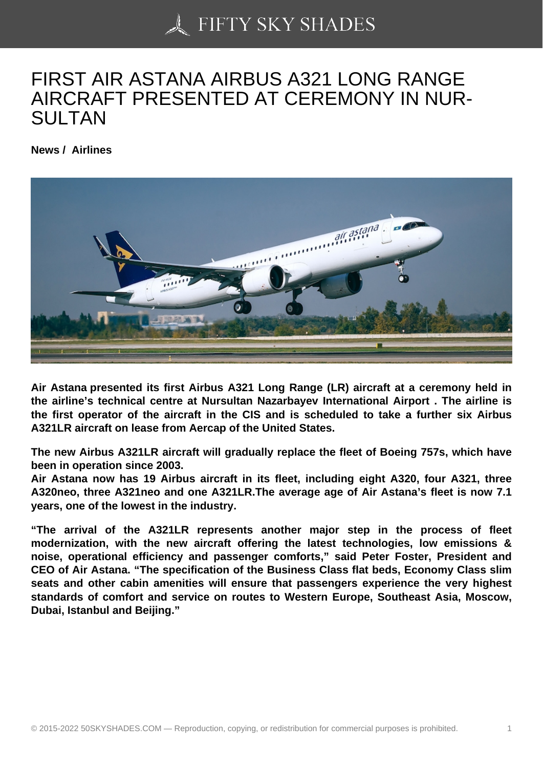## [FIRST AIR ASTANA A](https://50skyshades.com)IRBUS A321 LONG RANGE AIRCRAFT PRESENTED AT CEREMONY IN NUR-SULTAN

News / Airlines

Air Astana presented its first Airbus A321 Long Range (LR) aircraft at a ceremony held in the airline's technical centre at Nursultan Nazarbayev International Airport . The airline is the first operator of the aircraft in the CIS and is scheduled to take a further six Airbus A321LR aircraft on lease from Aercap of the United States.

The new Airbus A321LR aircraft will gradually replace the fleet of Boeing 757s, which have been in operation since 2003.

Air Astana now has 19 Airbus aircraft in its fleet, including eight A320, four A321, three A320neo, three A321neo and one A321LR.The average age of Air Astana's fleet is now 7.1 years, one of the lowest in the industry.

"The arrival of the A321LR represents another major step in the process of fleet modernization, with the new aircraft offering the latest technologies, low emissions & noise, operational efficiency and passenger comforts," said Peter Foster, President and CEO of Air Astana. "The specification of the Business Class flat beds, Economy Class slim seats and other cabin amenities will ensure that passengers experience the very highest standards of comfort and service on routes to Western Europe, Southeast Asia, Moscow, Dubai, Istanbul and Beijing."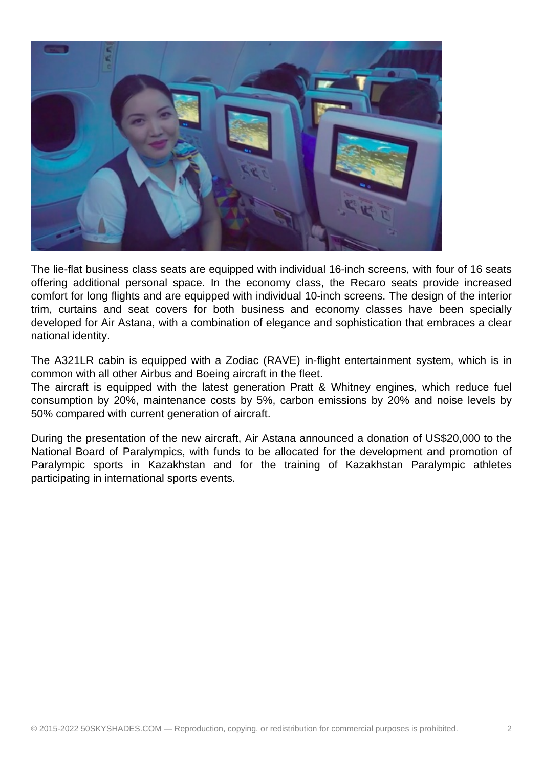

The lie-flat business class seats are equipped with individual 16-inch screens, with four of 16 seats offering additional personal space. In the economy class, the Recaro seats provide increased comfort for long flights and are equipped with individual 10-inch screens. The design of the interior trim, curtains and seat covers for both business and economy classes have been specially developed for Air Astana, with a combination of elegance and sophistication that embraces a clear national identity.

The A321LR cabin is equipped with a Zodiac (RAVE) in-flight entertainment system, which is in common with all other Airbus and Boeing aircraft in the fleet.

The aircraft is equipped with the latest generation Pratt & Whitney engines, which reduce fuel consumption by 20%, maintenance costs by 5%, carbon emissions by 20% and noise levels by 50% compared with current generation of aircraft.

During the presentation of the new aircraft, Air Astana announced a donation of US\$20,000 to the National Board of Paralympics, with funds to be allocated for the development and promotion of Paralympic sports in Kazakhstan and for the training of Kazakhstan Paralympic athletes participating in international sports events.